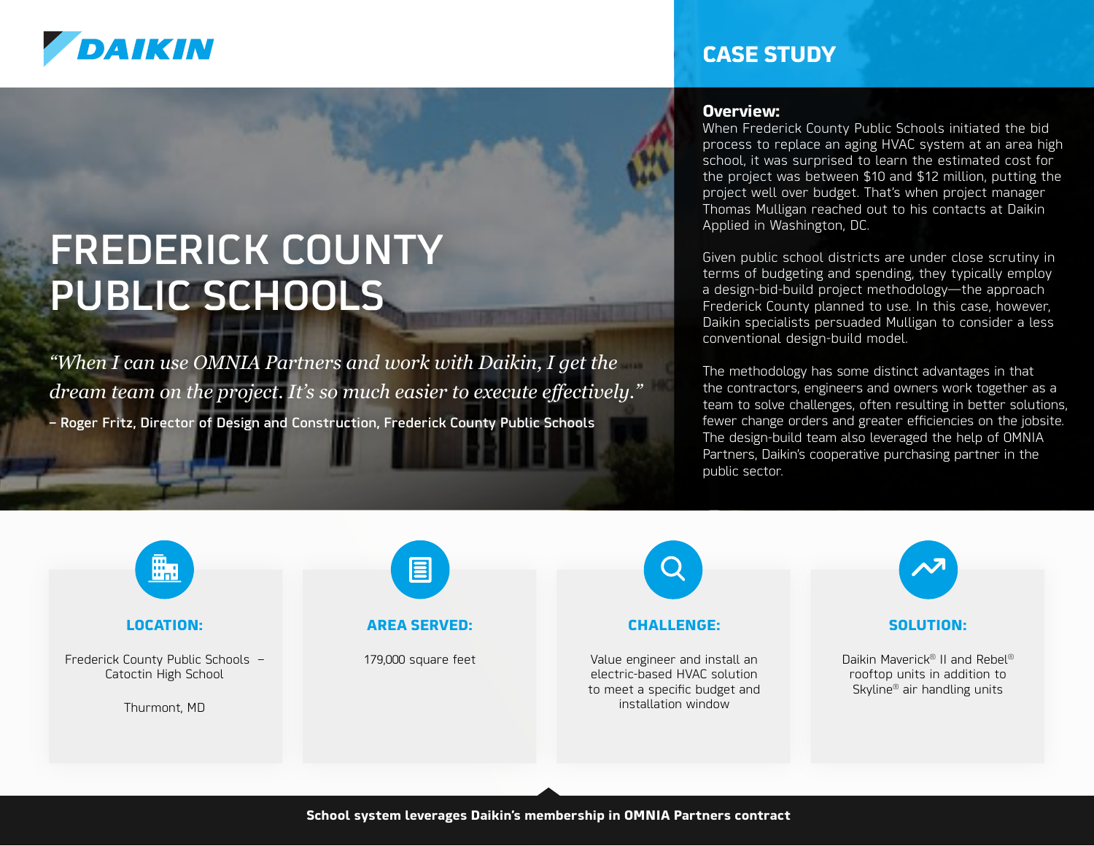

# FREDERICK COUNTY PUBLIC SCHOOLS

*"When I can use OMNIA Partners and work with Daikin, I get the dream team on the project. It's so much easier to execute effectively."*  – Roger Fritz, Director of Design and Construction, Frederick County Public Schools

### **CASE STUDY**

#### **Overview:**

When Frederick County Public Schools initiated the bid process to replace an aging HVAC system at an area high school, it was surprised to learn the estimated cost for the project was between \$10 and \$12 million, putting the project well over budget. That's when project manager Thomas Mulligan reached out to his contacts at Daikin Applied in Washington, DC.

Given public school districts are under close scrutiny in terms of budgeting and spending, they typically employ a design-bid-build project methodology—the approach Frederick County planned to use. In this case, however, Daikin specialists persuaded Mulligan to consider a less conventional design-build model.

The methodology has some distinct advantages in that the contractors, engineers and owners work together as a team to solve challenges, often resulting in better solutions, fewer change orders and greater efficiencies on the jobsite. The design-build team also leveraged the help of OMNIA Partners, Daikin's cooperative purchasing partner in the public sector.



#### **LOCATION:**

Frederick County Public Schools – Catoctin High School

Thurmont, MD



#### **AREA SERVED:**

179,000 square feet



Value engineer and install an electric-based HVAC solution to meet a specific budget and installation window



#### **SOLUTION:**

Daikin Maverick® II and Rebel® rooftop units in addition to Skyline® air handling units